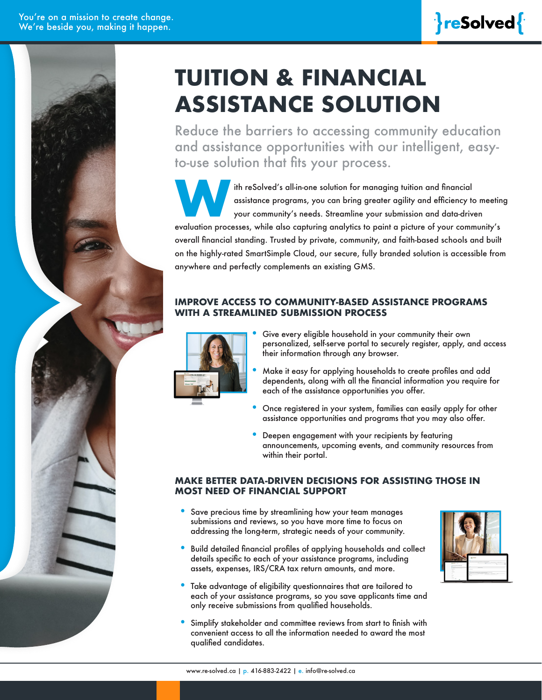

# **TUITION & FINANCIAL ASSISTANCE SOLUTION**

Reduce the barriers to accessing community education and assistance opportunities with our intelligent, easyto-use solution that fits your process.

ith reSolved's all-in-one solution for managing tuition and financial<br>assistance programs, you can bring greater agility and efficiency to<br>your community's needs. Streamline your submission and data-drive<br>evaluation proces assistance programs, you can bring greater agility and efficiency to meeting your community's needs. Streamline your submission and data-driven

evaluation processes, while also capturing analytics to paint a picture of your community's overall financial standing. Trusted by private, community, and faith-based schools and built on the highly-rated SmartSimple Cloud, our secure, fully branded solution is accessible from anywhere and perfectly complements an existing GMS.

#### **IMPROVE ACCESS TO COMMUNITY-BASED ASSISTANCE PROGRAMS WITH A STREAMLINED SUBMISSION PROCESS**



- Give every eligible household in your community their own personalized, self-serve portal to securely register, apply, and access their information through any browser.
- Make it easy for applying households to create profiles and add dependents, along with all the financial information you require for each of the assistance opportunities you offer.
- Once registered in your system, families can easily apply for other assistance opportunities and programs that you may also offer.
- Deepen engagement with your recipients by featuring announcements, upcoming events, and community resources from within their portal.

#### **MAKE BETTER DATA-DRIVEN DECISIONS FOR ASSISTING THOSE IN MOST NEED OF FINANCIAL SUPPORT**

- Save precious time by streamlining how your team manages submissions and reviews, so you have more time to focus on addressing the long-term, strategic needs of your community.
- Build detailed financial profiles of applying households and collect details specific to each of your assistance programs, including assets, expenses, IRS/CRA tax return amounts, and more.
- Take advantage of eligibility questionnaires that are tailored to each of your assistance programs, so you save applicants time and only receive submissions from qualified households.
- Simplify stakeholder and committee reviews from start to finish with convenient access to all the information needed to award the most qualified candidates.